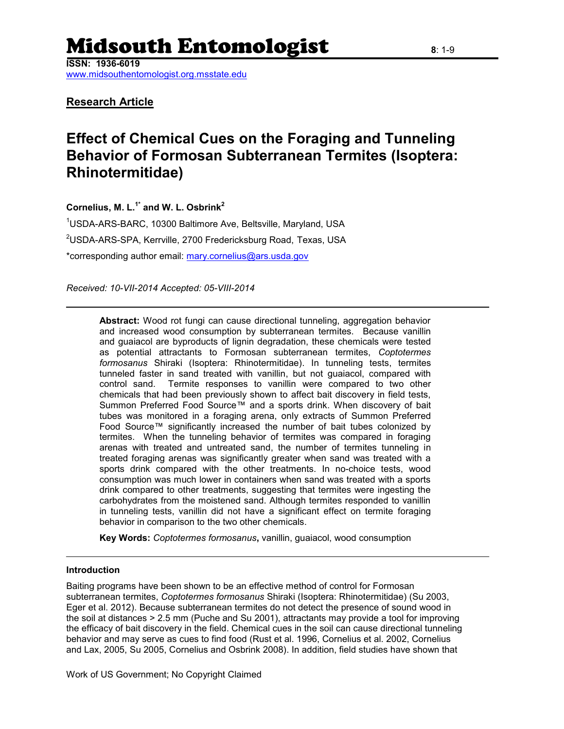# Midsouth Entomologist **<sup>8</sup>**: 1-9

**ISSN: 1936-6019**

[www.midsouthentomologist.org.msstate.edu](http://www.midsouthentomologist.org.msstate.edu/)

### **Research Article**

## **Effect of Chemical Cues on the Foraging and Tunneling Behavior of Formosan Subterranean Termites (Isoptera: Rhinotermitidae)**

**Cornelius, M. L.1\* and W. L. Osbrink<sup>2</sup>**

<sup>1</sup>USDA-ARS-BARC, 10300 Baltimore Ave, Beltsville, Maryland, USA <sup>2</sup>USDA-ARS-SPA, Kerrville, 2700 Fredericksburg Road, Texas, USA \*corresponding author email: [mary.cornelius@ars.usda.gov](mailto:mary.cornelius@ars.usda.gov)

*Received: 10-VII-2014 Accepted: 05-VIII-2014*

**Abstract:** Wood rot fungi can cause directional tunneling, aggregation behavior and increased wood consumption by subterranean termites. Because vanillin and guaiacol are byproducts of lignin degradation, these chemicals were tested as potential attractants to Formosan subterranean termites, *Coptotermes formosanus* Shiraki (Isoptera: Rhinotermitidae). In tunneling tests, termites tunneled faster in sand treated with vanillin, but not guaiacol, compared with control sand. Termite responses to vanillin were compared to two other chemicals that had been previously shown to affect bait discovery in field tests, Summon Preferred Food Source™ and a sports drink. When discovery of bait tubes was monitored in a foraging arena, only extracts of Summon Preferred Food Source™ significantly increased the number of bait tubes colonized by termites. When the tunneling behavior of termites was compared in foraging arenas with treated and untreated sand, the number of termites tunneling in treated foraging arenas was significantly greater when sand was treated with a sports drink compared with the other treatments. In no-choice tests, wood consumption was much lower in containers when sand was treated with a sports drink compared to other treatments, suggesting that termites were ingesting the carbohydrates from the moistened sand. Although termites responded to vanillin in tunneling tests, vanillin did not have a significant effect on termite foraging behavior in comparison to the two other chemicals.

**Key Words:** *Coptotermes formosanus***,** vanillin, guaiacol, wood consumption

#### **Introduction**

Baiting programs have been shown to be an effective method of control for Formosan subterranean termites, *Coptotermes formosanus* Shiraki (Isoptera: Rhinotermitidae) (Su 2003, Eger et al. 2012). Because subterranean termites do not detect the presence of sound wood in the soil at distances > 2.5 mm (Puche and Su 2001), attractants may provide a tool for improving the efficacy of bait discovery in the field. Chemical cues in the soil can cause directional tunneling behavior and may serve as cues to find food (Rust et al. 1996, Cornelius et al. 2002, Cornelius and Lax, 2005, Su 2005, Cornelius and Osbrink 2008). In addition, field studies have shown that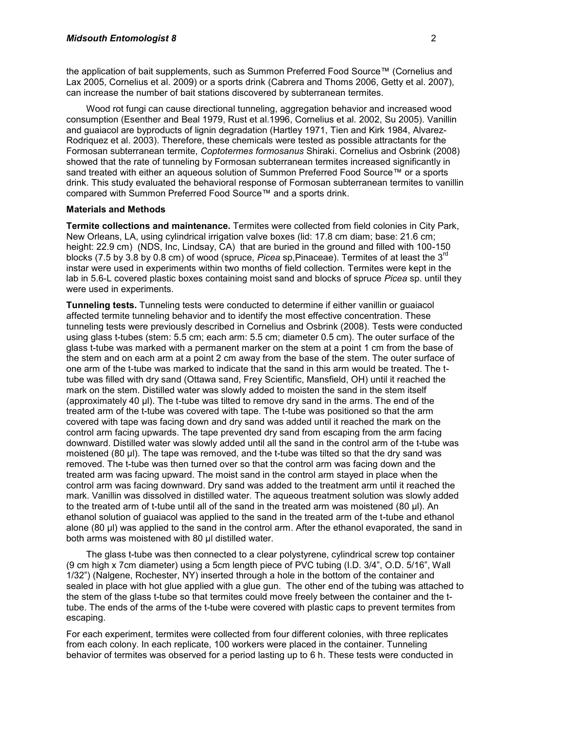the application of bait supplements, such as Summon Preferred Food Source™ (Cornelius and Lax 2005, Cornelius et al. 2009) or a sports drink (Cabrera and Thoms 2006, Getty et al. 2007), can increase the number of bait stations discovered by subterranean termites.

Wood rot fungi can cause directional tunneling, aggregation behavior and increased wood consumption (Esenther and Beal 1979, Rust et al.1996, Cornelius et al. 2002, Su 2005). Vanillin and guaiacol are byproducts of lignin degradation (Hartley 1971, Tien and Kirk 1984, Alvarez-Rodriquez et al. 2003). Therefore, these chemicals were tested as possible attractants for the Formosan subterranean termite, *Coptotermes formosanus* Shiraki. Cornelius and Osbrink (2008) showed that the rate of tunneling by Formosan subterranean termites increased significantly in sand treated with either an aqueous solution of Summon Preferred Food Source™ or a sports drink. This study evaluated the behavioral response of Formosan subterranean termites to vanillin compared with Summon Preferred Food Source™ and a sports drink.

#### **Materials and Methods**

**Termite collections and maintenance.** Termites were collected from field colonies in City Park, New Orleans, LA, using cylindrical irrigation valve boxes (lid: 17.8 cm diam; base: 21.6 cm; height: 22.9 cm) (NDS, Inc, Lindsay, CA) that are buried in the ground and filled with 100-150 blocks (7.5 by 3.8 by 0.8 cm) of wood (spruce, *Picea* sp,Pinaceae). Termites of at least the 3rd instar were used in experiments within two months of field collection. Termites were kept in the lab in 5.6-L covered plastic boxes containing moist sand and blocks of spruce *Picea* sp. until they were used in experiments.

**Tunneling tests.** Tunneling tests were conducted to determine if either vanillin or guaiacol affected termite tunneling behavior and to identify the most effective concentration. These tunneling tests were previously described in Cornelius and Osbrink (2008). Tests were conducted using glass t-tubes (stem: 5.5 cm; each arm: 5.5 cm; diameter 0.5 cm). The outer surface of the glass t-tube was marked with a permanent marker on the stem at a point 1 cm from the base of the stem and on each arm at a point 2 cm away from the base of the stem. The outer surface of one arm of the t-tube was marked to indicate that the sand in this arm would be treated. The ttube was filled with dry sand (Ottawa sand, Frey Scientific, Mansfield, OH) until it reached the mark on the stem. Distilled water was slowly added to moisten the sand in the stem itself (approximately 40 µl). The t-tube was tilted to remove dry sand in the arms. The end of the treated arm of the t-tube was covered with tape. The t-tube was positioned so that the arm covered with tape was facing down and dry sand was added until it reached the mark on the control arm facing upwards. The tape prevented dry sand from escaping from the arm facing downward. Distilled water was slowly added until all the sand in the control arm of the t-tube was moistened (80  $\mu$ I). The tape was removed, and the t-tube was tilted so that the dry sand was removed. The t-tube was then turned over so that the control arm was facing down and the treated arm was facing upward. The moist sand in the control arm stayed in place when the control arm was facing downward. Dry sand was added to the treatment arm until it reached the mark. Vanillin was dissolved in distilled water. The aqueous treatment solution was slowly added to the treated arm of t-tube until all of the sand in the treated arm was moistened (80 µl). An ethanol solution of guaiacol was applied to the sand in the treated arm of the t-tube and ethanol alone (80 µl) was applied to the sand in the control arm. After the ethanol evaporated, the sand in both arms was moistened with 80 µl distilled water.

The glass t-tube was then connected to a clear polystyrene, cylindrical screw top container (9 cm high x 7cm diameter) using a 5cm length piece of PVC tubing (I.D. 3/4", O.D. 5/16", Wall 1/32") (Nalgene, Rochester, NY) inserted through a hole in the bottom of the container and sealed in place with hot glue applied with a glue gun. The other end of the tubing was attached to the stem of the glass t-tube so that termites could move freely between the container and the ttube. The ends of the arms of the t-tube were covered with plastic caps to prevent termites from escaping.

For each experiment, termites were collected from four different colonies, with three replicates from each colony. In each replicate, 100 workers were placed in the container. Tunneling behavior of termites was observed for a period lasting up to 6 h. These tests were conducted in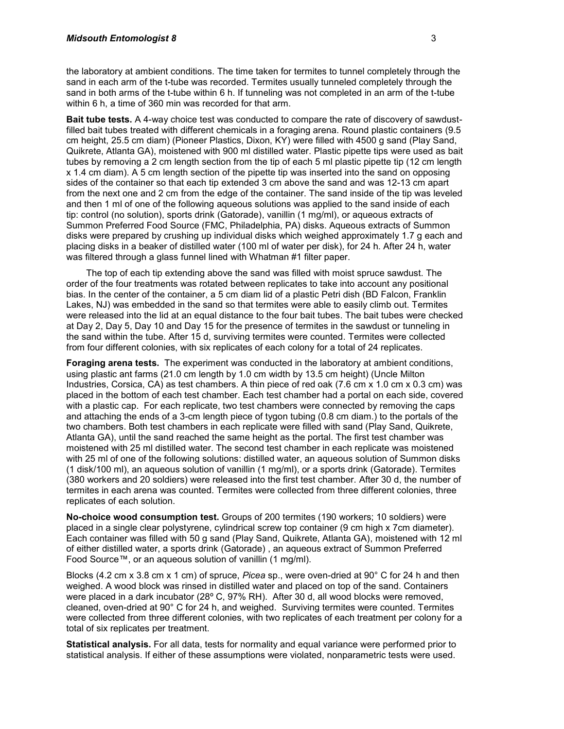the laboratory at ambient conditions. The time taken for termites to tunnel completely through the sand in each arm of the t-tube was recorded. Termites usually tunneled completely through the sand in both arms of the t-tube within 6 h. If tunneling was not completed in an arm of the t-tube within 6 h, a time of 360 min was recorded for that arm.

**Bait tube tests.** A 4-way choice test was conducted to compare the rate of discovery of sawdustfilled bait tubes treated with different chemicals in a foraging arena. Round plastic containers (9.5 cm height, 25.5 cm diam) (Pioneer Plastics, Dixon, KY) were filled with 4500 g sand (Play Sand, Quikrete, Atlanta GA), moistened with 900 ml distilled water. Plastic pipette tips were used as bait tubes by removing a 2 cm length section from the tip of each 5 ml plastic pipette tip (12 cm length x 1.4 cm diam). A 5 cm length section of the pipette tip was inserted into the sand on opposing sides of the container so that each tip extended 3 cm above the sand and was 12-13 cm apart from the next one and 2 cm from the edge of the container. The sand inside of the tip was leveled and then 1 ml of one of the following aqueous solutions was applied to the sand inside of each tip: control (no solution), sports drink (Gatorade), vanillin (1 mg/ml), or aqueous extracts of Summon Preferred Food Source (FMC, Philadelphia, PA) disks. Aqueous extracts of Summon disks were prepared by crushing up individual disks which weighed approximately 1.7 g each and placing disks in a beaker of distilled water (100 ml of water per disk), for 24 h. After 24 h, water was filtered through a glass funnel lined with Whatman #1 filter paper.

The top of each tip extending above the sand was filled with moist spruce sawdust. The order of the four treatments was rotated between replicates to take into account any positional bias. In the center of the container, a 5 cm diam lid of a plastic Petri dish (BD Falcon, Franklin Lakes, NJ) was embedded in the sand so that termites were able to easily climb out. Termites were released into the lid at an equal distance to the four bait tubes. The bait tubes were checked at Day 2, Day 5, Day 10 and Day 15 for the presence of termites in the sawdust or tunneling in the sand within the tube. After 15 d, surviving termites were counted. Termites were collected from four different colonies, with six replicates of each colony for a total of 24 replicates.

**Foraging arena tests.** The experiment was conducted in the laboratory at ambient conditions, using plastic ant farms (21.0 cm length by 1.0 cm width by 13.5 cm height) (Uncle Milton Industries, Corsica, CA) as test chambers. A thin piece of red oak (7.6 cm x 1.0 cm x 0.3 cm) was placed in the bottom of each test chamber. Each test chamber had a portal on each side, covered with a plastic cap. For each replicate, two test chambers were connected by removing the caps and attaching the ends of a 3-cm length piece of tygon tubing (0.8 cm diam.) to the portals of the two chambers. Both test chambers in each replicate were filled with sand (Play Sand, Quikrete, Atlanta GA), until the sand reached the same height as the portal. The first test chamber was moistened with 25 ml distilled water. The second test chamber in each replicate was moistened with 25 ml of one of the following solutions: distilled water, an aqueous solution of Summon disks (1 disk/100 ml), an aqueous solution of vanillin (1 mg/ml), or a sports drink (Gatorade). Termites (380 workers and 20 soldiers) were released into the first test chamber. After 30 d, the number of termites in each arena was counted. Termites were collected from three different colonies, three replicates of each solution.

**No-choice wood consumption test.** Groups of 200 termites (190 workers; 10 soldiers) were placed in a single clear polystyrene, cylindrical screw top container (9 cm high x 7cm diameter). Each container was filled with 50 g sand (Play Sand, Quikrete, Atlanta GA), moistened with 12 ml of either distilled water, a sports drink (Gatorade) , an aqueous extract of Summon Preferred Food Source™, or an aqueous solution of vanillin (1 mg/ml).

Blocks (4.2 cm x 3.8 cm x 1 cm) of spruce, *Picea* sp., were oven-dried at 90° C for 24 h and then weighed. A wood block was rinsed in distilled water and placed on top of the sand. Containers were placed in a dark incubator (28º C, 97% RH). After 30 d, all wood blocks were removed, cleaned, oven-dried at 90° C for 24 h, and weighed. Surviving termites were counted. Termites were collected from three different colonies, with two replicates of each treatment per colony for a total of six replicates per treatment.

**Statistical analysis.** For all data, tests for normality and equal variance were performed prior to statistical analysis. If either of these assumptions were violated, nonparametric tests were used.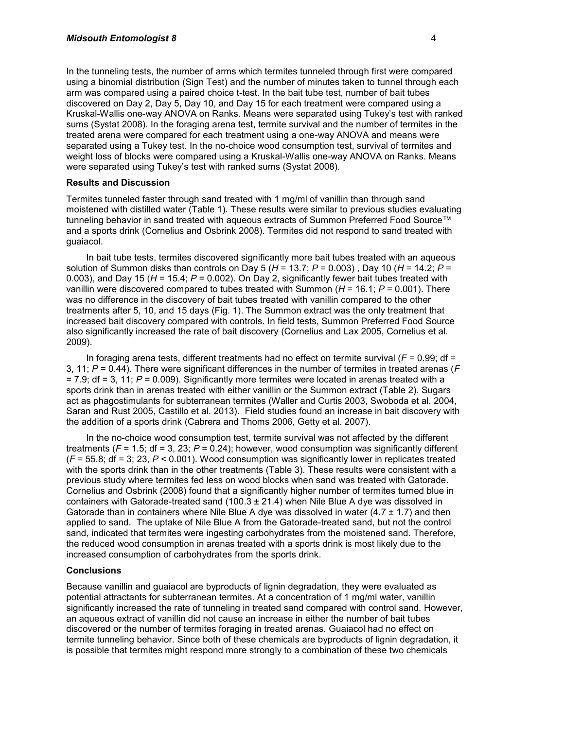In the tunneling tests, the number of arms which termites tunneled through first were compared using a binomial distribution (Sign Test) and the number of minutes taken to tunnel through each arm was compared using a paired choice t-test. In the bait tube test, number of bait tubes discovered on Day 2, Day 5, Day 10, and Day 15 for each treatment were compared using a Kruskal-Wallis one-way ANOVA on Ranks. Means were separated using Tukey's test with ranked sums (Systat 2008). In the foraging arena test, termite survival and the number of termites in the treated arena were compared for each treatment using a one-way ANOVA and means were separated using a Tukey test. In the no-choice wood consumption test, survival of termites and weight loss of blocks were compared using a Kruskal-Wallis one-way ANOVA on Ranks. Means were separated using Tukey's test with ranked sums (Systat 2008).

#### **Results and Discussion**

Termites tunneled faster through sand treated with 1 mg/ml of vanillin than through sand moistened with distilled water (Table 1). These results were similar to previous studies evaluating tunneling behavior in sand treated with aqueous extracts of Summon Preferred Food Source™ and a sports drink (Cornelius and Osbrink 2008). Termites did not respond to sand treated with guaiacol.

In bait tube tests, termites discovered significantly more bait tubes treated with an aqueous solution of Summon disks than controls on Day 5 (*H* = 13.7; *P* = 0.003) , Day 10 (*H* = 14.2; *P* = 0.003), and Day 15 (*H* = 15.4; *P* = 0.002). On Day 2, significantly fewer bait tubes treated with vanillin were discovered compared to tubes treated with Summon (*H* = 16.1; *P* = 0.001). There was no difference in the discovery of bait tubes treated with vanillin compared to the other treatments after 5, 10, and 15 days (Fig. 1). The Summon extract was the only treatment that increased bait discovery compared with controls. In field tests, Summon Preferred Food Source also significantly increased the rate of bait discovery (Cornelius and Lax 2005, Cornelius et al. 2009).

In foraging arena tests, different treatments had no effect on termite survival  $(F = 0.99)$ ; df = 3, 11; *P* = 0.44). There were significant differences in the number of termites in treated arenas (*F* = 7.9; df = 3, 11; *P* = 0.009). Significantly more termites were located in arenas treated with a sports drink than in arenas treated with either vanillin or the Summon extract (Table 2). Sugars act as phagostimulants for subterranean termites (Waller and Curtis 2003, Swoboda et al. 2004, Saran and Rust 2005, Castillo et al. 2013). Field studies found an increase in bait discovery with the addition of a sports drink (Cabrera and Thoms 2006, Getty et al. 2007).

In the no-choice wood consumption test, termite survival was not affected by the different treatments  $(F = 1.5$ ; df = 3, 23;  $P = 0.24$ ); however, wood consumption was significantly different (*F* = 55.8; df = 3; 23, *P* < 0.001). Wood consumption was significantly lower in replicates treated with the sports drink than in the other treatments (Table 3). These results were consistent with a previous study where termites fed less on wood blocks when sand was treated with Gatorade. Cornelius and Osbrink (2008) found that a significantly higher number of termites turned blue in containers with Gatorade-treated sand (100.3  $\pm$  21.4) when Nile Blue A dye was dissolved in Gatorade than in containers where Nile Blue A dye was dissolved in water  $(4.7 \pm 1.7)$  and then applied to sand. The uptake of Nile Blue A from the Gatorade-treated sand, but not the control sand, indicated that termites were ingesting carbohydrates from the moistened sand. Therefore, the reduced wood consumption in arenas treated with a sports drink is most likely due to the increased consumption of carbohydrates from the sports drink.

#### **Conclusions**

Because vanillin and guaiacol are byproducts of lignin degradation, they were evaluated as potential attractants for subterranean termites. At a concentration of 1 mg/ml water, vanillin significantly increased the rate of tunneling in treated sand compared with control sand. However, an aqueous extract of vanillin did not cause an increase in either the number of bait tubes discovered or the number of termites foraging in treated arenas. Guaiacol had no effect on termite tunneling behavior. Since both of these chemicals are byproducts of lignin degradation, it is possible that termites might respond more strongly to a combination of these two chemicals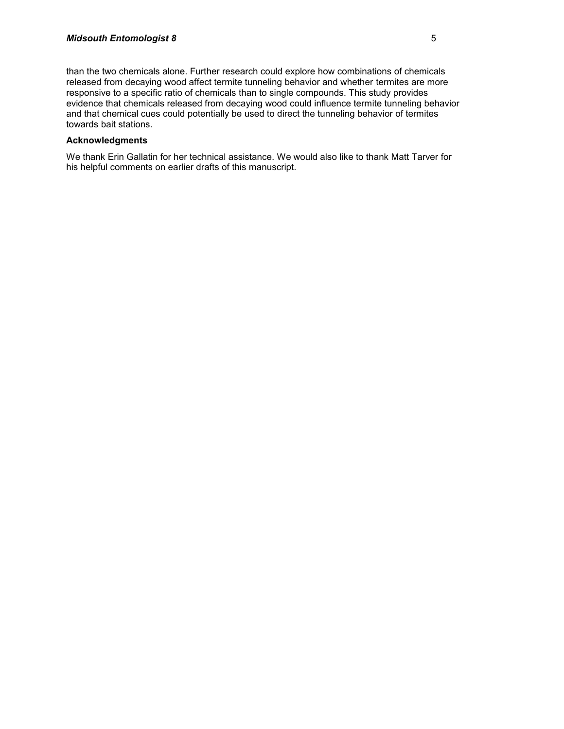than the two chemicals alone. Further research could explore how combinations of chemicals released from decaying wood affect termite tunneling behavior and whether termites are more responsive to a specific ratio of chemicals than to single compounds. This study provides evidence that chemicals released from decaying wood could influence termite tunneling behavior and that chemical cues could potentially be used to direct the tunneling behavior of termites towards bait stations.

#### **Acknowledgments**

We thank Erin Gallatin for her technical assistance. We would also like to thank Matt Tarver for his helpful comments on earlier drafts of this manuscript.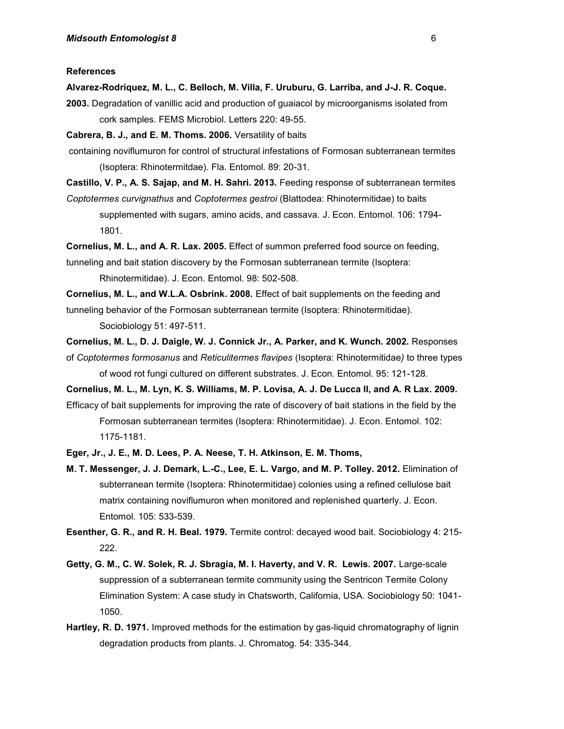#### **References**

**Alvarez-Rodriquez, M. L., C. Belloch, M. Villa, F. Uruburu, G. Larriba, and J-J. R. Coque.**

**2003.** Degradation of vanillic acid and production of guaiacol by microorganisms isolated from cork samples. FEMS Microbiol. Letters 220: 49-55.

**Cabrera, B. J., and E. M. Thoms. 2006.** Versatility of baits

- containing noviflumuron for control of structural infestations of Formosan subterranean termites (Isoptera: Rhinotermitdae). Fla. Entomol. 89: 20-31.
- **Castillo, V. P., A. S. Sajap, and M. H. Sahri. 2013.** Feeding response of subterranean termites
- *Coptotermes curvignathus* and *Coptotermes gestroi* (Blattodea: Rhinotermitidae) to baits supplemented with sugars, amino acids, and cassava. J. Econ. Entomol. 106: 1794- 1801.

**Cornelius, M. L., and A. R. Lax. 2005.** Effect of summon preferred food source on feeding,

tunneling and bait station discovery by the Formosan subterranean termite (Isoptera:

Rhinotermitidae). J. Econ. Entomol. 98: 502-508.

**Cornelius, M. L., and W.L.A. Osbrink. 2008.** Effect of bait supplements on the feeding and tunneling behavior of the Formosan subterranean termite (Isoptera: Rhinotermitidae).

Sociobiology 51: 497-511.

- **Cornelius, M. L., D. J. Daigle, W. J. Connick Jr., A. Parker, and K. Wunch. 2002.** Responses of *Coptotermes formosanus* and *Reticulitermes flavipes* (Isoptera: Rhinotermitidae*)* to three types of wood rot fungi cultured on different substrates. J. Econ. Entomol. 95: 121-128.
- **Cornelius, M. L., M. Lyn, K. S. Williams, M. P. Lovisa, A. J. De Lucca II, and A. R Lax. 2009.** Efficacy of bait supplements for improving the rate of discovery of bait stations in the field by the Formosan subterranean termites (Isoptera: Rhinotermitidae). J. Econ. Entomol. 102: 1175-1181.
- **Eger, Jr., J. E., M. D. Lees, P. A. Neese, T. H. Atkinson, E. M. Thoms,**
- **M. T. Messenger, J. J. Demark, L.-C., Lee, E. L. Vargo, and M. P. Tolley. 2012.** Elimination of subterranean termite (Isoptera: Rhinotermitidae) colonies using a refined cellulose bait matrix containing noviflumuron when monitored and replenished quarterly. J. Econ. Entomol. 105: 533-539.
- **Esenther, G. R., and R. H. Beal. 1979.** Termite control: decayed wood bait. Sociobiology 4: 215- 222.
- Getty, G. M., C. W. Solek, R. J. Sbragia, M. I. Haverty, and V. R. Lewis. 2007. Large-scale suppression of a subterranean termite community using the Sentricon Termite Colony Elimination System: A case study in Chatsworth, California, USA. Sociobiology 50: 1041- 1050.
- **Hartley, R. D. 1971.** Improved methods for the estimation by gas-liquid chromatography of lignin degradation products from plants. J. Chromatog. 54: 335-344.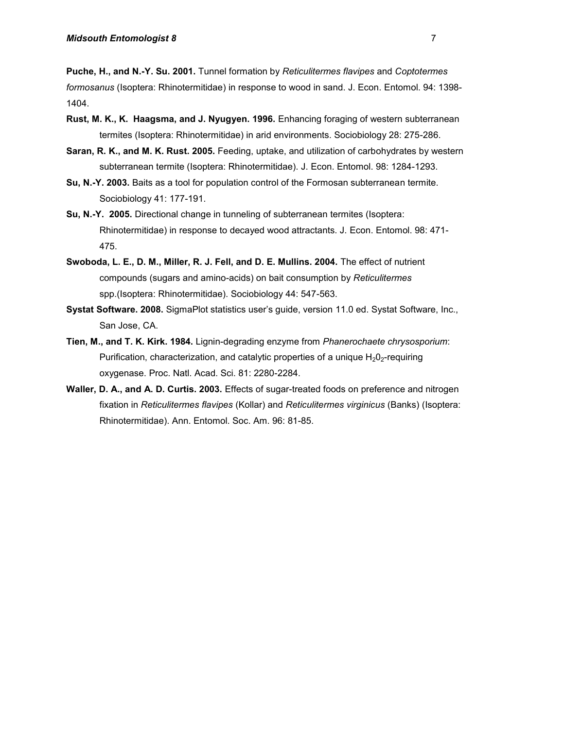**Puche, H., and N.-Y. Su. 2001.** Tunnel formation by *Reticulitermes flavipes* and *Coptotermes formosanus* (Isoptera: Rhinotermitidae) in response to wood in sand. J. Econ. Entomol. 94: 1398- 1404.

- **Rust, M. K., K. Haagsma, and J. Nyugyen. 1996.** Enhancing foraging of western subterranean termites (Isoptera: Rhinotermitidae) in arid environments. Sociobiology 28: 275-286.
- **Saran, R. K., and M. K. Rust. 2005.** Feeding, uptake, and utilization of carbohydrates by western subterranean termite (Isoptera: Rhinotermitidae). J. Econ. Entomol. 98: 1284-1293.
- **Su, N.-Y. 2003.** Baits as a tool for population control of the Formosan subterranean termite. Sociobiology 41: 177-191.
- **Su, N.-Y. 2005.** Directional change in tunneling of subterranean termites (Isoptera: Rhinotermitidae) in response to decayed wood attractants. J. Econ. Entomol. 98: 471- 475.
- **Swoboda, L. E., D. M., Miller, R. J. Fell, and D. E. Mullins. 2004.** The effect of nutrient compounds (sugars and amino-acids) on bait consumption by *Reticulitermes*  spp.(Isoptera: Rhinotermitidae). Sociobiology 44: 547-563.
- **Systat Software. 2008.** SigmaPlot statistics user's guide, version 11.0 ed. Systat Software, Inc., San Jose, CA.
- **Tien, M., and T. K. Kirk. 1984.** Lignin-degrading enzyme from *Phanerochaete chrysosporium*: Purification, characterization, and catalytic properties of a unique  $H_2O_2$ -requiring oxygenase. Proc. Natl. Acad. Sci. 81: 2280-2284.
- **Waller, D. A., and A. D. Curtis. 2003.** Effects of sugar-treated foods on preference and nitrogen fixation in *Reticulitermes flavipes* (Kollar) and *Reticulitermes virginicus* (Banks) (Isoptera: Rhinotermitidae). Ann. Entomol. Soc. Am. 96: 81-85.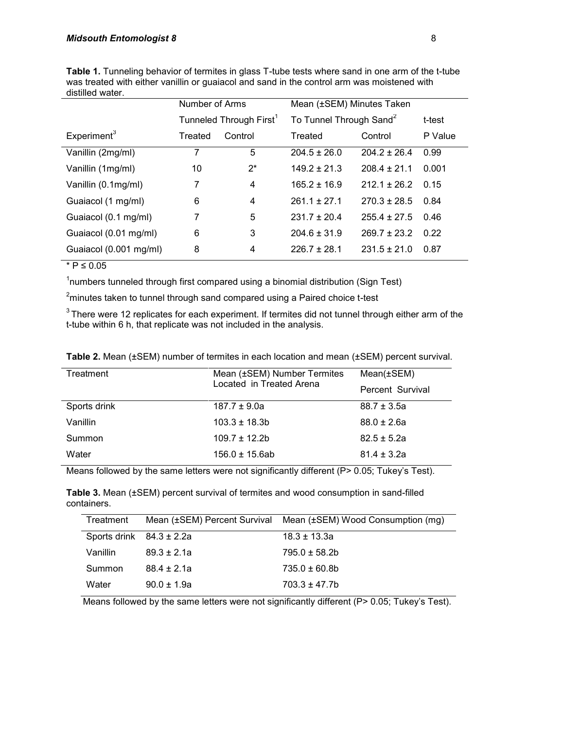|                        | Number of Arms                      |                | Mean (±SEM) Minutes Taken           |                  |         |
|------------------------|-------------------------------------|----------------|-------------------------------------|------------------|---------|
|                        | Tunneled Through First <sup>1</sup> |                | To Tunnel Through Sand <sup>2</sup> |                  | t-test  |
| Experiment $3$         | Treated                             | Control        | Treated                             | Control          | P Value |
| Vanillin (2mg/ml)      | 7                                   | 5              | $204.5 \pm 26.0$                    | $204.2 \pm 26.4$ | 0.99    |
| Vanillin (1mg/ml)      | 10                                  | $2^*$          | $149.2 \pm 21.3$                    | $208.4 \pm 21.1$ | 0.001   |
| Vanillin (0.1mg/ml)    | 7                                   | $\overline{4}$ | $165.2 \pm 16.9$                    | $212.1 \pm 26.2$ | 0.15    |
| Guaiacol (1 mg/ml)     | 6                                   | 4              | $261.1 \pm 27.1$                    | $270.3 \pm 28.5$ | 0.84    |
| Guaiacol (0.1 mg/ml)   | 7                                   | 5              | $231.7 \pm 20.4$                    | $255.4 \pm 27.5$ | 0.46    |
| Guaiacol (0.01 mg/ml)  | 6                                   | 3              | $204.6 \pm 31.9$                    | $269.7 \pm 23.2$ | 0.22    |
| Guaiacol (0.001 mg/ml) | 8                                   | 4              | $226.7 + 28.1$                      | $231.5 \pm 21.0$ | 0.87    |

**Table 1.** Tunneling behavior of termites in glass T-tube tests where sand in one arm of the t-tube was treated with either vanillin or guaiacol and sand in the control arm was moistened with distilled water.

#### $*$  P ≤ 0.05

<sup>1</sup>numbers tunneled through first compared using a binomial distribution (Sign Test)

 $2$ minutes taken to tunnel through sand compared using a Paired choice t-test

 $3$ There were 12 replicates for each experiment. If termites did not tunnel through either arm of the t-tube within 6 h, that replicate was not included in the analysis.

|  |  |  | Table 2. Mean (±SEM) number of termites in each location and mean (±SEM) percent survival. |
|--|--|--|--------------------------------------------------------------------------------------------|
|--|--|--|--------------------------------------------------------------------------------------------|

| Treatment    | Mean (±SEM) Number Termites | $Mean(\pm SEM)$  |
|--------------|-----------------------------|------------------|
|              | Located in Treated Arena    | Percent Survival |
| Sports drink | $187.7 \pm 9.0a$            | $88.7 \pm 3.5a$  |
| Vanillin     | $103.3 \pm 18.3b$           | $88.0 \pm 2.6a$  |
| Summon       | $109.7 \pm 12.2$            | $82.5 \pm 5.2a$  |
| Water        | $156.0 \pm 15.6$ ab         | $81.4 \pm 3.2a$  |

Means followed by the same letters were not significantly different (P> 0.05; Tukey's Test).

**Table 3.** Mean (±SEM) percent survival of termites and wood consumption in sand-filled containers.

| Treatment                    |                 | Mean (±SEM) Percent Survival Mean (±SEM) Wood Consumption (mg) |
|------------------------------|-----------------|----------------------------------------------------------------|
| Sports drink $84.3 \pm 2.2a$ |                 | $18.3 \pm 13.3a$                                               |
| Vanillin                     | $89.3 \pm 2.1a$ | $795.0 \pm 58.2$                                               |
| Summon                       | $88.4 \pm 2.1a$ | $735.0 \pm 60.8$ b                                             |
| Water                        | $90.0 \pm 1.9a$ | $703.3 \pm 47.7b$                                              |

Means followed by the same letters were not significantly different (P> 0.05; Tukey's Test).